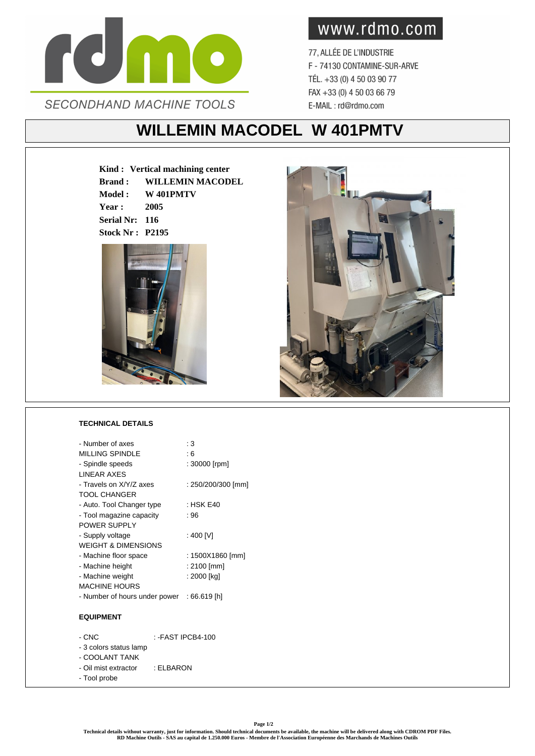

www.rdmo.com

77, ALLÉE DE L'INDUSTRIE F - 74130 CONTAMINE-SUR-ARVE TÉL. +33 (0) 4 50 03 90 77 FAX +33 (0) 4 50 03 66 79 E-MAIL: rd@rdmo.com

## **WILLEMIN MACODEL W 401PMTV**

**Kind : Vertical machining center Brand : WILLEMIN MACODEL Model : W 401PMTV Year : 2005 Serial Nr: 116 Stock Nr : P2195**



## **TECHNICAL DETAILS**

| - Number of axes                           | : 3                |
|--------------------------------------------|--------------------|
| <b>MILLING SPINDLE</b>                     | : 6                |
| - Spindle speeds                           | : 30000 [rpm]      |
| <b>I INFAR AXES</b>                        |                    |
| - Travels on X/Y/Z axes                    | : 250/200/300 [mm] |
| <b>TOOL CHANGER</b>                        |                    |
| - Auto. Tool Changer type                  | : HSK E40          |
| - Tool magazine capacity                   | : 96               |
| POWER SUPPLY                               |                    |
| - Supply voltage                           | : 400 IVI          |
| <b>WEIGHT &amp; DIMENSIONS</b>             |                    |
| - Machine floor space                      | : 1500X1860 [mm]   |
| - Machine height                           | : 2100 [mm]        |
| - Machine weight                           | : 2000 [kg]        |
| <b>MACHINE HOURS</b>                       |                    |
| - Number of hours under power : 66.619 [h] |                    |
|                                            |                    |
| <b>EQUIPMENT</b>                           |                    |

| - CNC                  | : -FAST IPCB4-100 |
|------------------------|-------------------|
| - 3 colors status lamp |                   |
| - COOLANT TANK         |                   |
| - Oil mist extractor   | : ELBARON         |
| - Tool probe           |                   |